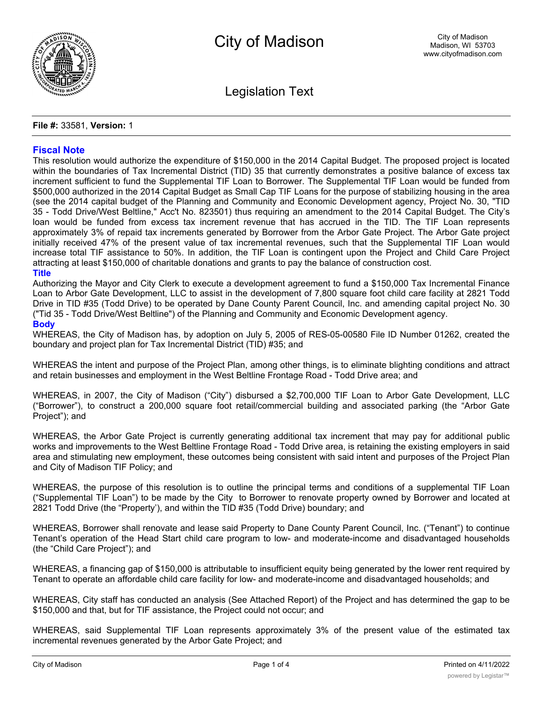

Legislation Text

## **File #:** 33581, **Version:** 1

# **Fiscal Note**

This resolution would authorize the expenditure of \$150,000 in the 2014 Capital Budget. The proposed project is located within the boundaries of Tax Incremental District (TID) 35 that currently demonstrates a positive balance of excess tax increment sufficient to fund the Supplemental TIF Loan to Borrower. The Supplemental TIF Loan would be funded from \$500,000 authorized in the 2014 Capital Budget as Small Cap TIF Loans for the purpose of stabilizing housing in the area (see the 2014 capital budget of the Planning and Community and Economic Development agency, Project No. 30, "TID 35 - Todd Drive/West Beltline," Acc't No. 823501) thus requiring an amendment to the 2014 Capital Budget. The City's loan would be funded from excess tax increment revenue that has accrued in the TID. The TIF Loan represents approximately 3% of repaid tax increments generated by Borrower from the Arbor Gate Project. The Arbor Gate project initially received 47% of the present value of tax incremental revenues, such that the Supplemental TIF Loan would increase total TIF assistance to 50%. In addition, the TIF Loan is contingent upon the Project and Child Care Project attracting at least \$150,000 of charitable donations and grants to pay the balance of construction cost.

#### **Title**

Authorizing the Mayor and City Clerk to execute a development agreement to fund a \$150,000 Tax Incremental Finance Loan to Arbor Gate Development, LLC to assist in the development of 7,800 square foot child care facility at 2821 Todd Drive in TID #35 (Todd Drive) to be operated by Dane County Parent Council, Inc. and amending capital project No. 30 ("Tid 35 - Todd Drive/West Beltline") of the Planning and Community and Economic Development agency.

#### **Body**

WHEREAS, the City of Madison has, by adoption on July 5, 2005 of RES-05-00580 File ID Number 01262, created the boundary and project plan for Tax Incremental District (TID) #35; and

WHEREAS the intent and purpose of the Project Plan, among other things, is to eliminate blighting conditions and attract and retain businesses and employment in the West Beltline Frontage Road - Todd Drive area; and

WHEREAS, in 2007, the City of Madison ("City") disbursed a \$2,700,000 TIF Loan to Arbor Gate Development, LLC ("Borrower"), to construct a 200,000 square foot retail/commercial building and associated parking (the "Arbor Gate Project"); and

WHEREAS, the Arbor Gate Project is currently generating additional tax increment that may pay for additional public works and improvements to the West Beltline Frontage Road - Todd Drive area, is retaining the existing employers in said area and stimulating new employment, these outcomes being consistent with said intent and purposes of the Project Plan and City of Madison TIF Policy; and

WHEREAS, the purpose of this resolution is to outline the principal terms and conditions of a supplemental TIF Loan ("Supplemental TIF Loan") to be made by the City to Borrower to renovate property owned by Borrower and located at 2821 Todd Drive (the "Property'), and within the TID #35 (Todd Drive) boundary; and

WHEREAS, Borrower shall renovate and lease said Property to Dane County Parent Council, Inc. ("Tenant") to continue Tenant's operation of the Head Start child care program to low- and moderate-income and disadvantaged households (the "Child Care Project"); and

WHEREAS, a financing gap of \$150,000 is attributable to insufficient equity being generated by the lower rent required by Tenant to operate an affordable child care facility for low- and moderate-income and disadvantaged households; and

WHEREAS, City staff has conducted an analysis (See Attached Report) of the Project and has determined the gap to be \$150,000 and that, but for TIF assistance, the Project could not occur; and

WHEREAS, said Supplemental TIF Loan represents approximately 3% of the present value of the estimated tax incremental revenues generated by the Arbor Gate Project; and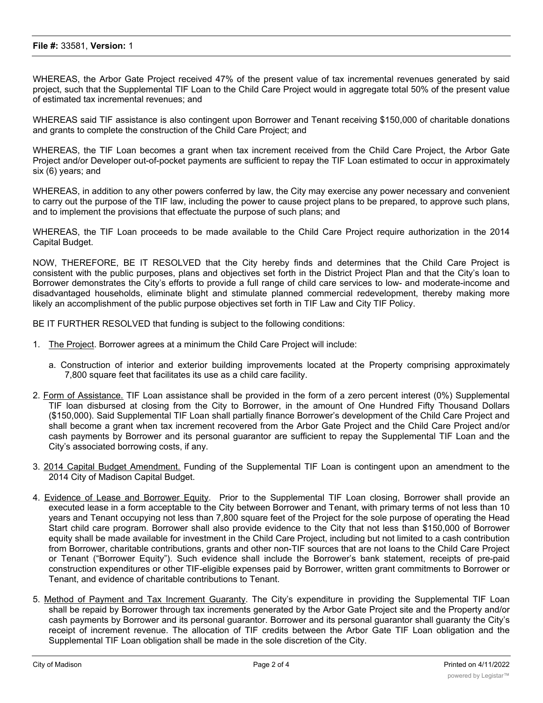## **File #:** 33581, **Version:** 1

WHEREAS, the Arbor Gate Project received 47% of the present value of tax incremental revenues generated by said project, such that the Supplemental TIF Loan to the Child Care Project would in aggregate total 50% of the present value of estimated tax incremental revenues; and

WHEREAS said TIF assistance is also contingent upon Borrower and Tenant receiving \$150,000 of charitable donations and grants to complete the construction of the Child Care Project; and

WHEREAS, the TIF Loan becomes a grant when tax increment received from the Child Care Project, the Arbor Gate Project and/or Developer out-of-pocket payments are sufficient to repay the TIF Loan estimated to occur in approximately six (6) years; and

WHEREAS, in addition to any other powers conferred by law, the City may exercise any power necessary and convenient to carry out the purpose of the TIF law, including the power to cause project plans to be prepared, to approve such plans, and to implement the provisions that effectuate the purpose of such plans; and

WHEREAS, the TIF Loan proceeds to be made available to the Child Care Project require authorization in the 2014 Capital Budget.

NOW, THEREFORE, BE IT RESOLVED that the City hereby finds and determines that the Child Care Project is consistent with the public purposes, plans and objectives set forth in the District Project Plan and that the City's loan to Borrower demonstrates the City's efforts to provide a full range of child care services to low- and moderate-income and disadvantaged households, eliminate blight and stimulate planned commercial redevelopment, thereby making more likely an accomplishment of the public purpose objectives set forth in TIF Law and City TIF Policy.

BE IT FURTHER RESOLVED that funding is subject to the following conditions:

- 1. The Project. Borrower agrees at a minimum the Child Care Project will include:
	- a. Construction of interior and exterior building improvements located at the Property comprising approximately 7,800 square feet that facilitates its use as a child care facility.
- 2. Form of Assistance. TIF Loan assistance shall be provided in the form of a zero percent interest (0%) Supplemental TIF loan disbursed at closing from the City to Borrower, in the amount of One Hundred Fifty Thousand Dollars (\$150,000). Said Supplemental TIF Loan shall partially finance Borrower's development of the Child Care Project and shall become a grant when tax increment recovered from the Arbor Gate Project and the Child Care Project and/or cash payments by Borrower and its personal guarantor are sufficient to repay the Supplemental TIF Loan and the City's associated borrowing costs, if any.
- 3. 2014 Capital Budget Amendment. Funding of the Supplemental TIF Loan is contingent upon an amendment to the 2014 City of Madison Capital Budget.
- 4. Evidence of Lease and Borrower Equity. Prior to the Supplemental TIF Loan closing, Borrower shall provide an executed lease in a form acceptable to the City between Borrower and Tenant, with primary terms of not less than 10 years and Tenant occupying not less than 7,800 square feet of the Project for the sole purpose of operating the Head Start child care program. Borrower shall also provide evidence to the City that not less than \$150,000 of Borrower equity shall be made available for investment in the Child Care Project, including but not limited to a cash contribution from Borrower, charitable contributions, grants and other non-TIF sources that are not loans to the Child Care Project or Tenant ("Borrower Equity"). Such evidence shall include the Borrower's bank statement, receipts of pre-paid construction expenditures or other TIF-eligible expenses paid by Borrower, written grant commitments to Borrower or Tenant, and evidence of charitable contributions to Tenant.
- 5. Method of Payment and Tax Increment Guaranty. The City's expenditure in providing the Supplemental TIF Loan shall be repaid by Borrower through tax increments generated by the Arbor Gate Project site and the Property and/or cash payments by Borrower and its personal guarantor. Borrower and its personal guarantor shall guaranty the City's receipt of increment revenue. The allocation of TIF credits between the Arbor Gate TIF Loan obligation and the Supplemental TIF Loan obligation shall be made in the sole discretion of the City.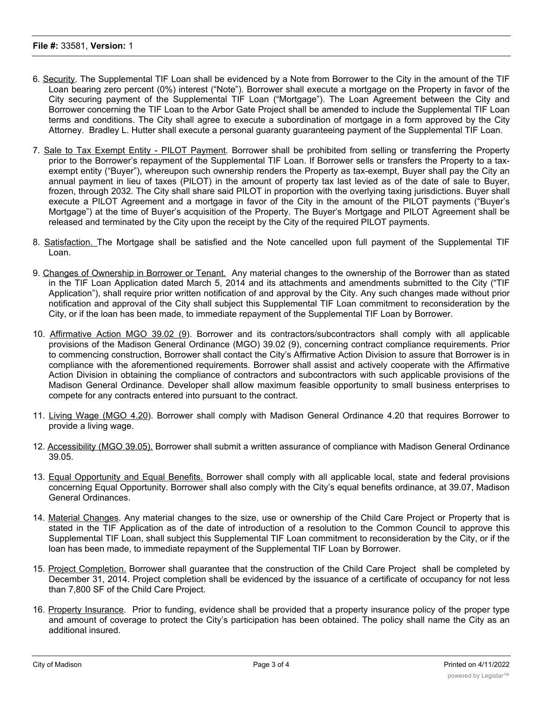- 6. Security. The Supplemental TIF Loan shall be evidenced by a Note from Borrower to the City in the amount of the TIF Loan bearing zero percent (0%) interest ("Note"). Borrower shall execute a mortgage on the Property in favor of the City securing payment of the Supplemental TIF Loan ("Mortgage"). The Loan Agreement between the City and Borrower concerning the TIF Loan to the Arbor Gate Project shall be amended to include the Supplemental TIF Loan terms and conditions. The City shall agree to execute a subordination of mortgage in a form approved by the City Attorney. Bradley L. Hutter shall execute a personal guaranty guaranteeing payment of the Supplemental TIF Loan.
- 7. Sale to Tax Exempt Entity PILOT Payment. Borrower shall be prohibited from selling or transferring the Property prior to the Borrower's repayment of the Supplemental TIF Loan. If Borrower sells or transfers the Property to a taxexempt entity ("Buyer"), whereupon such ownership renders the Property as tax-exempt, Buyer shall pay the City an annual payment in lieu of taxes (PILOT) in the amount of property tax last levied as of the date of sale to Buyer, frozen, through 2032. The City shall share said PILOT in proportion with the overlying taxing jurisdictions. Buyer shall execute a PILOT Agreement and a mortgage in favor of the City in the amount of the PILOT payments ("Buyer's Mortgage") at the time of Buyer's acquisition of the Property. The Buyer's Mortgage and PILOT Agreement shall be released and terminated by the City upon the receipt by the City of the required PILOT payments.
- 8. Satisfaction. The Mortgage shall be satisfied and the Note cancelled upon full payment of the Supplemental TIF Loan.
- 9. Changes of Ownership in Borrower or Tenant. Any material changes to the ownership of the Borrower than as stated in the TIF Loan Application dated March 5, 2014 and its attachments and amendments submitted to the City ("TIF Application"), shall require prior written notification of and approval by the City. Any such changes made without prior notification and approval of the City shall subject this Supplemental TIF Loan commitment to reconsideration by the City, or if the loan has been made, to immediate repayment of the Supplemental TIF Loan by Borrower.
- 10. Affirmative Action MGO 39.02 (9). Borrower and its contractors/subcontractors shall comply with all applicable provisions of the Madison General Ordinance (MGO) 39.02 (9), concerning contract compliance requirements. Prior to commencing construction, Borrower shall contact the City's Affirmative Action Division to assure that Borrower is in compliance with the aforementioned requirements. Borrower shall assist and actively cooperate with the Affirmative Action Division in obtaining the compliance of contractors and subcontractors with such applicable provisions of the Madison General Ordinance. Developer shall allow maximum feasible opportunity to small business enterprises to compete for any contracts entered into pursuant to the contract.
- 11. Living Wage (MGO 4.20). Borrower shall comply with Madison General Ordinance 4.20 that requires Borrower to provide a living wage.
- 12. Accessibility (MGO 39.05). Borrower shall submit a written assurance of compliance with Madison General Ordinance 39.05.
- 13. Equal Opportunity and Equal Benefits. Borrower shall comply with all applicable local, state and federal provisions concerning Equal Opportunity. Borrower shall also comply with the City's equal benefits ordinance, at 39.07, Madison General Ordinances.
- 14. Material Changes. Any material changes to the size, use or ownership of the Child Care Project or Property that is stated in the TIF Application as of the date of introduction of a resolution to the Common Council to approve this Supplemental TIF Loan, shall subject this Supplemental TIF Loan commitment to reconsideration by the City, or if the loan has been made, to immediate repayment of the Supplemental TIF Loan by Borrower.
- 15. Project Completion. Borrower shall guarantee that the construction of the Child Care Project shall be completed by December 31, 2014. Project completion shall be evidenced by the issuance of a certificate of occupancy for not less than 7,800 SF of the Child Care Project.
- 16. Property Insurance. Prior to funding, evidence shall be provided that a property insurance policy of the proper type and amount of coverage to protect the City's participation has been obtained. The policy shall name the City as an additional insured.